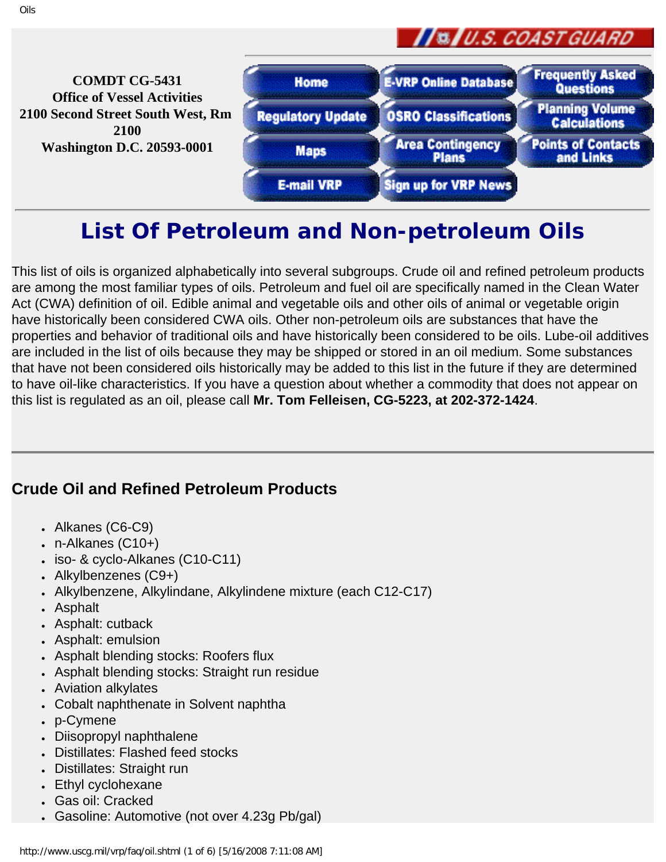

**Frequently Asked COMDT CG-5431 E-VRP Online Database Home** Questions **Office of Vessel Activities Planning Volume 2100 Second Street South West, Rm Regulatory Update OSRO Classifications Calculations 2100 Area Contingency Points of Contacts Washington D.C. 20593-0001 Maps Plans** and Links **E-mail VRP Sign up for VRP News** 

# **List Of Petroleum and Non-petroleum Oils**

This list of oils is organized alphabetically into several subgroups. Crude oil and refined petroleum products are among the most familiar types of oils. Petroleum and fuel oil are specifically named in the Clean Water Act (CWA) definition of oil. Edible animal and vegetable oils and other oils of animal or vegetable origin have historically been considered CWA oils. Other non-petroleum oils are substances that have the properties and behavior of traditional oils and have historically been considered to be oils. Lube-oil additives are included in the list of oils because they may be shipped or stored in an oil medium. Some substances that have not been considered oils historically may be added to this list in the future if they are determined to have oil-like characteristics. If you have a question about whether a commodity that does not appear on this list is regulated as an oil, please call **Mr. Tom Felleisen, CG-5223, at 202-372-1424**.

#### **Crude Oil and Refined Petroleum Products**

- Alkanes (C6-C9)
- $\cdot$  n-Alkanes (C10+)
- iso- & cyclo-Alkanes (C10-C11)
- Alkylbenzenes (C9+)
- Alkylbenzene, Alkylindane, Alkylindene mixture (each C12-C17)
- **Asphalt**
- Asphalt: cutback
- Asphalt: emulsion
- Asphalt blending stocks: Roofers flux
- Asphalt blending stocks: Straight run residue
- **Aviation alkylates**
- Cobalt naphthenate in Solvent naphtha
- p-Cymene
- Diisopropyl naphthalene
- Distillates: Flashed feed stocks
- Distillates: Straight run
- Ethyl cyclohexane
- Gas oil: Cracked
- Gasoline: Automotive (not over 4.23g Pb/gal)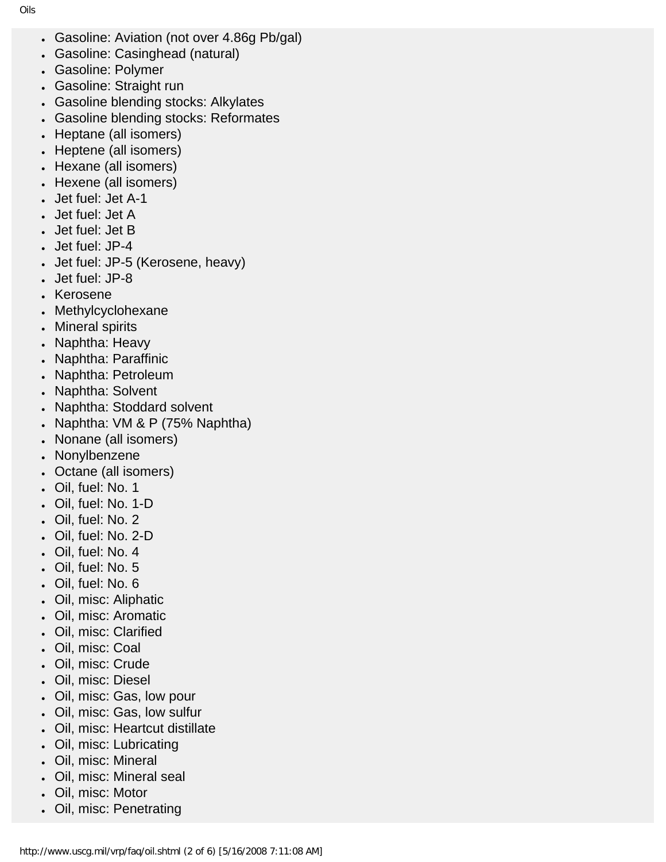- Gasoline: Aviation (not over 4.86g Pb/gal)
- Gasoline: Casinghead (natural)
- Gasoline: Polymer
- Gasoline: Straight run
- Gasoline blending stocks: Alkylates
- Gasoline blending stocks: Reformates
- Heptane (all isomers)
- Heptene (all isomers)
- Hexane (all isomers)
- Hexene (all isomers)
- Jet fuel: Jet A-1
- Jet fuel: Jet A
- Jet fuel: Jet B
- Jet fuel: JP-4
- Jet fuel: JP-5 (Kerosene, heavy)
- Jet fuel: JP-8
- **Kerosene**
- Methylcyclohexane
- Mineral spirits
- Naphtha: Heavy
- Naphtha: Paraffinic
- Naphtha: Petroleum
- Naphtha: Solvent
- Naphtha: Stoddard solvent
- Naphtha: VM & P (75% Naphtha)
- Nonane (all isomers)
- Nonylbenzene
- Octane (all isomers)
- Oil, fuel: No. 1
- Oil, fuel: No. 1-D
- Oil, fuel: No. 2
- Oil, fuel: No. 2-D
- Oil, fuel: No. 4
- Oil, fuel: No. 5
- Oil, fuel: No. 6
- Oil, misc: Aliphatic
- Oil, misc: Aromatic
- Oil, misc: Clarified
- Oil, misc: Coal
- Oil, misc: Crude
- Oil, misc: Diesel
- Oil, misc: Gas, low pour
- Oil, misc: Gas, low sulfur
- Oil, misc: Heartcut distillate
- Oil, misc: Lubricating
- Oil, misc: Mineral
- Oil, misc: Mineral seal
- Oil, misc: Motor
- Oil, misc: Penetrating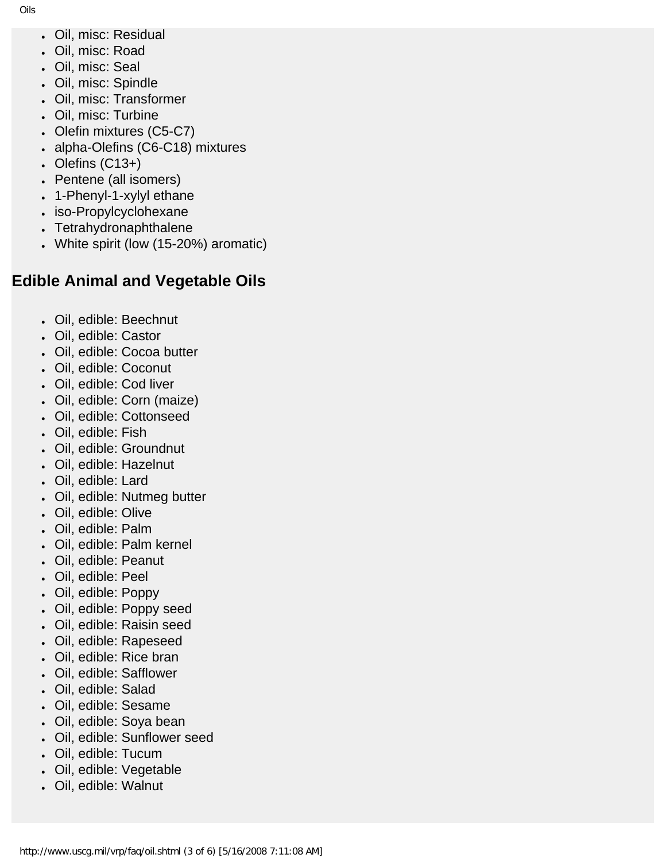- Oil, misc: Residual
- Oil, misc: Road
- Oil, misc: Seal
- Oil, misc: Spindle
- Oil, misc: Transformer
- Oil, misc: Turbine
- Olefin mixtures (C5-C7)
- alpha-Olefins (C6-C18) mixtures
- Olefins  $(C13+)$
- Pentene (all isomers)
- 1-Phenyl-1-xylyl ethane
- iso-Propylcyclohexane
- Tetrahydronaphthalene
- White spirit (low (15-20%) aromatic)

### **Edible Animal and Vegetable Oils**

- Oil, edible: Beechnut
- Oil, edible: Castor
- Oil, edible: Cocoa butter
- Oil, edible: Coconut
- Oil, edible: Cod liver
- Oil, edible: Corn (maize)
- Oil, edible: Cottonseed
- Oil, edible: Fish
- Oil, edible: Groundnut
- Oil, edible: Hazelnut
- Oil, edible: Lard
- Oil, edible: Nutmeg butter
- Oil, edible: Olive
- Oil, edible: Palm
- Oil, edible: Palm kernel
- Oil, edible: Peanut
- Oil, edible: Peel
- Oil, edible: Poppy
- Oil, edible: Poppy seed
- Oil, edible: Raisin seed
- Oil, edible: Rapeseed
- Oil, edible: Rice bran
- Oil, edible: Safflower
- Oil, edible: Salad
- Oil, edible: Sesame
- Oil, edible: Soya bean
- Oil, edible: Sunflower seed
- Oil, edible: Tucum
- Oil, edible: Vegetable
- Oil, edible: Walnut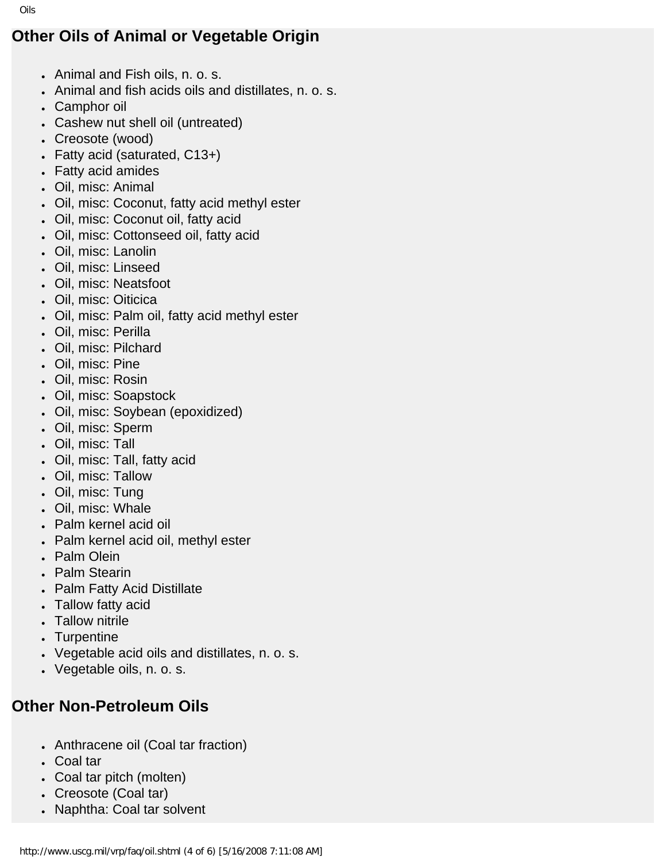## **Other Oils of Animal or Vegetable Origin**

- Animal and Fish oils, n. o. s.
- Animal and fish acids oils and distillates, n. o. s.
- Camphor oil
- Cashew nut shell oil (untreated)
- Creosote (wood)
- Fatty acid (saturated, C13+)
- **Fatty acid amides**
- Oil, misc: Animal
- Oil, misc: Coconut, fatty acid methyl ester
- Oil, misc: Coconut oil, fatty acid
- Oil, misc: Cottonseed oil, fatty acid
- Oil, misc: Lanolin
- Oil, misc: Linseed
- Oil, misc: Neatsfoot
- Oil, misc: Oiticica
- Oil, misc: Palm oil, fatty acid methyl ester
- Oil, misc: Perilla
- Oil, misc: Pilchard
- Oil, misc: Pine
- Oil, misc: Rosin
- Oil, misc: Soapstock
- Oil, misc: Soybean (epoxidized)
- Oil, misc: Sperm
- Oil, misc: Tall
- Oil, misc: Tall, fatty acid
- Oil, misc: Tallow
- Oil, misc: Tung
- Oil, misc: Whale
- Palm kernel acid oil
- Palm kernel acid oil, methyl ester
- Palm Olein
- Palm Stearin
- **Palm Fatty Acid Distillate**
- Tallow fatty acid
- **Tallow nitrile**
- **Turpentine**
- Vegetable acid oils and distillates, n. o. s.
- Vegetable oils, n. o. s.

## **Other Non-Petroleum Oils**

- Anthracene oil (Coal tar fraction)
- Coal tar
- Coal tar pitch (molten)
- Creosote (Coal tar)
- Naphtha: Coal tar solvent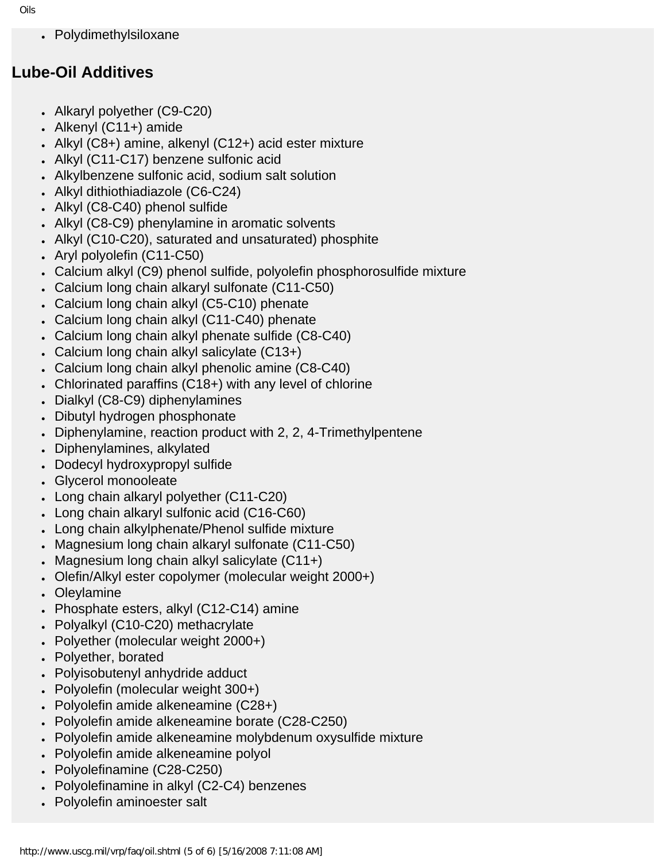• Polydimethylsiloxane

#### **Lube-Oil Additives**

- Alkaryl polyether (C9-C20)
- Alkenyl  $(C11+)$  amide
- Alkyl ( $C8+$ ) amine, alkenyl ( $C12+$ ) acid ester mixture
- Alkyl (C11-C17) benzene sulfonic acid
- Alkylbenzene sulfonic acid, sodium salt solution
- Alkyl dithiothiadiazole (C6-C24)
- Alkyl (C8-C40) phenol sulfide
- Alkyl (C8-C9) phenylamine in aromatic solvents
- Alkyl (C10-C20), saturated and unsaturated) phosphite
- Aryl polyolefin (C11-C50)
- Calcium alkyl (C9) phenol sulfide, polyolefin phosphorosulfide mixture
- Calcium long chain alkaryl sulfonate (C11-C50)
- Calcium long chain alkyl (C5-C10) phenate
- Calcium long chain alkyl (C11-C40) phenate
- Calcium long chain alkyl phenate sulfide (C8-C40)
- Calcium long chain alkyl salicylate (C13+)
- Calcium long chain alkyl phenolic amine (C8-C40)
- Chlorinated paraffins  $(C18+)$  with any level of chlorine
- Dialkyl (C8-C9) diphenylamines
- Dibutyl hydrogen phosphonate
- Diphenylamine, reaction product with 2, 2, 4-Trimethylpentene
- Diphenylamines, alkylated
- Dodecyl hydroxypropyl sulfide
- Glycerol monooleate
- Long chain alkaryl polyether (C11-C20)
- Long chain alkaryl sulfonic acid (C16-C60)
- Long chain alkylphenate/Phenol sulfide mixture
- Magnesium long chain alkaryl sulfonate (C11-C50)
- Magnesium long chain alkyl salicylate  $(C11+)$
- Olefin/Alkyl ester copolymer (molecular weight 2000+)
- **Oleylamine**
- Phosphate esters, alkyl (C12-C14) amine
- Polyalkyl (C10-C20) methacrylate
- Polyether (molecular weight 2000+)
- Polyether, borated
- Polyisobutenyl anhydride adduct
- Polyolefin (molecular weight 300+)
- Polyolefin amide alkeneamine (C28+)
- Polyolefin amide alkeneamine borate (C28-C250)
- Polyolefin amide alkeneamine molybdenum oxysulfide mixture
- Polyolefin amide alkeneamine polyol
- Polyolefinamine (C28-C250)
- Polyolefinamine in alkyl (C2-C4) benzenes
- **Polyolefin aminoester salt**